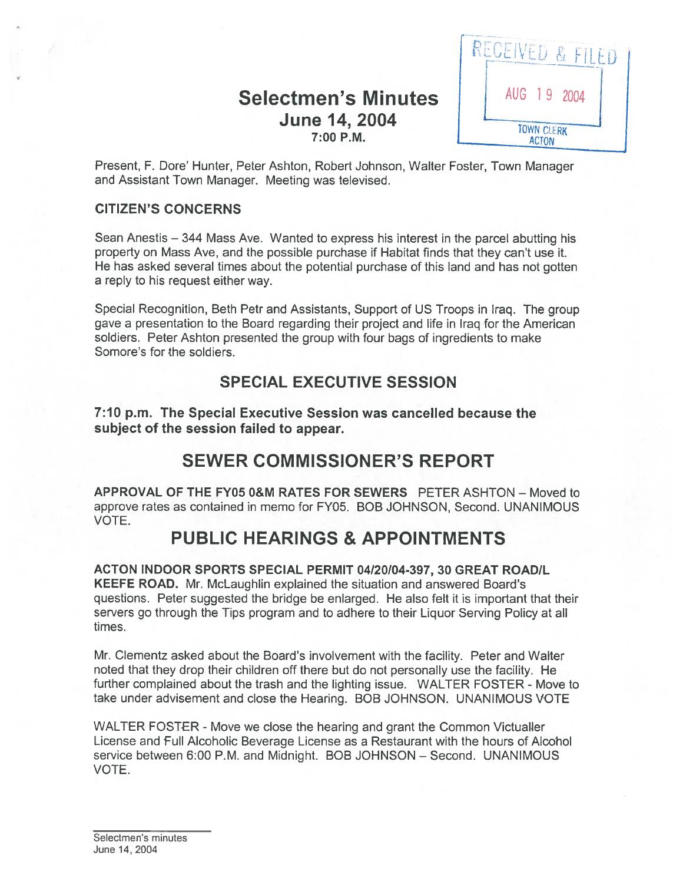## Selectmen's Minutes June 14, 2004 7:00 P.M.



Present, F. Dore' Hunter, Peter Ashton, Robert Johnson, Walter Foster, Town Manager and Assistant Town Manager. Meeting was televised.

#### CITIZEN'S CONCERNS

Sean Anestis — 344 Mass Ave. Wanted to express his interest in the parcel abutting his property on Mass Aye, and the possible purchase if Habitat finds that they can't use it. He has asked several times about the potential purchase of this land and has not gotten <sup>a</sup> reply to his reques<sup>t</sup> either way.

Special Recognition, Beth Petr and Assistants, Support of US Troops in Iraq. The group gave <sup>a</sup> presentation to the Board regarding their project and life in Iraq for the American soldiers. Peter Ashton presented the group with four bags of ingredients to make Somore's for the soldiers.

## SPECIAL EXECUTIVE SESSION

7:10 p.m. The Special Executive Session was cancelled because the subject of the session failed to appear.

# SEWER COMMISSIONER'S REPORT

APPROVAL OF THE FY05 0&M RATES FOR SEWERS PETER ASHTON — Moved to approve rates as contained in memo for FY05. BOB JOHNSON, Second. UNANIMOUS VOTE.

# PUBLIC HEARINGS & APPOINTMENTS

ACTON INDOOR SPORTS SPECIAL PERMIT 04/20104-397, 30 GREAT ROAD/L KEEFE ROAD. Mr. McLaughlin explained the situation and answered Board's questions. Peter suggested the bridge be enlarged. He also felt it is important that their servers go through the Tips program and to adhere to their Liquor Serving Policy at all times.

Mr. Clementz asked about the Board's involvement with the facility. Peter and Walter noted that they drop their children off there but do not personally use the facility. He further complained about the trash and the lighting issue. WALTER FOSTER - Move to take under advisement and close the Hearing. BOB JOHNSON. UNANIMOUS VOTE

WALTER FOSTER - Move we close the hearing and grant the Common Victualler License and Full Alcoholic Beverage License as <sup>a</sup> Restaurant with the hours of Alcohol service between 6:00 P.M. and Midnight. BOB JOHNSON - Second. UNANIMOUS VOTE.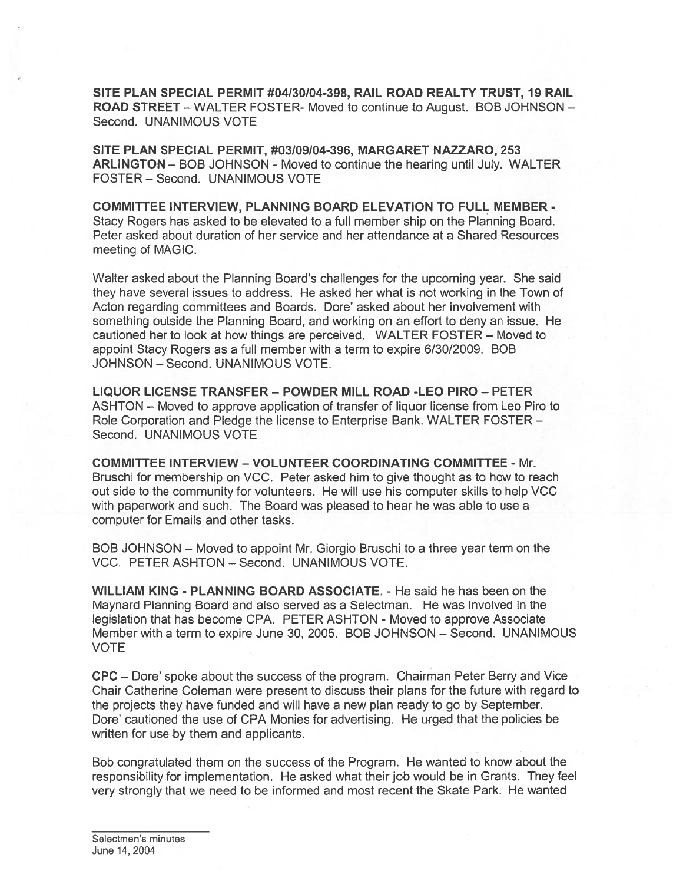SITE PLAN SPECIAL PERMIT #04/30/04-398, RAIL ROAD REALTY TRUST, 19 RAIL ROAD STREET — WALTER FOSTER- Moved to continue to August. BOB JOHNSON — Second. UNANIMOUS VOTE

SITE PLAN SPECIAL PERMIT, #03/09/04-396, MARGARET NAZZARO, 253 ARLINGTON — BOB JOHNSON - Moved to continue the hearing until July. WALTER FOSTER — Second. UNANIMOUS VOTE

COMMITTEE INTERVIEW, PLANNING BOARD ELEVATION TO FULL MEMBER - Stacy Rogers has asked to be elevated to <sup>a</sup> full member ship on the Planning Board. Peter asked about duration of her service and her attendance at <sup>a</sup> Shared Resources meeting of MAGIC.

Walter asked about the Planning Board's challenges for the upcoming year. She said they have several issues to address. He asked her what is not working in the Town of Acton regarding committees and Boards. Dore' asked about her involvement with something outside the Planning Board, and working on an effort to deny an issue. He cautioned her to look at how things are perceived. WALTER FOSTER — Moved to appoint Stacy Rogers as <sup>a</sup> full member with <sup>a</sup> term to expire 6/30/2009. BOB JOHNSON — Second. UNANIMOUS VOTE.

LIQUOR LICENSE TRANSFER — POWDER MILL ROAD -LEO PIRO — PETER ASHTON — Moved to approve application of transfer of liquor license from Leo Piro to Role Corporation and Pledge the license to Enterprise Bank. WALTER FOSTER — Second. UNANIMOUS VOTE

COMMITTEE INTERVIEW -VOLUNTEER COORDINATING COMMITTEE - Mr. Bruschi for membership on VCC. Peter asked him to give thought as to how to reach out side to the community for volunteers. He will use his computer skills to help VCC with paperwork and such. The Board was pleased to hear he was able to use <sup>a</sup> computer for Emails and other tasks.

BOB JOHNSON — Moved to appoint Mr. Giorgio Bruschi to <sup>a</sup> three year term on the VCC. PETER ASHTON - Second. UNANIMOUS VOTE.

WILLIAM KING - PLANNING BOARD ASSOCIATE. - He said he has been on the Maynard Planning Board and also served as <sup>a</sup> Selectman. He was involved in the legislation that has become CPA. PETER ASHTON - Moved to approve Associate Member with <sup>a</sup> term to expire June 30, 2005. BOB JOHNSON — Second. UNANIMOUS VOTE

CPC — Dore' spoke about the success of the program. Chairman Peter Berry and Vice Chair Catherine Coleman were presen<sup>t</sup> to discuss their plans for the future with regard to the projects they have funded and will have <sup>a</sup> new plan ready to go by September. Dore' cautioned the use of CPA Monies for advertising. He urged that the policies be written for use by them and applicants.

Bob congratulated them on the success of the Program. He wanted to know about the responsibility for implementation. He asked what their job would be in Grants. They feel very strongly that we need to be informed and most recent the Skate Park. He wanted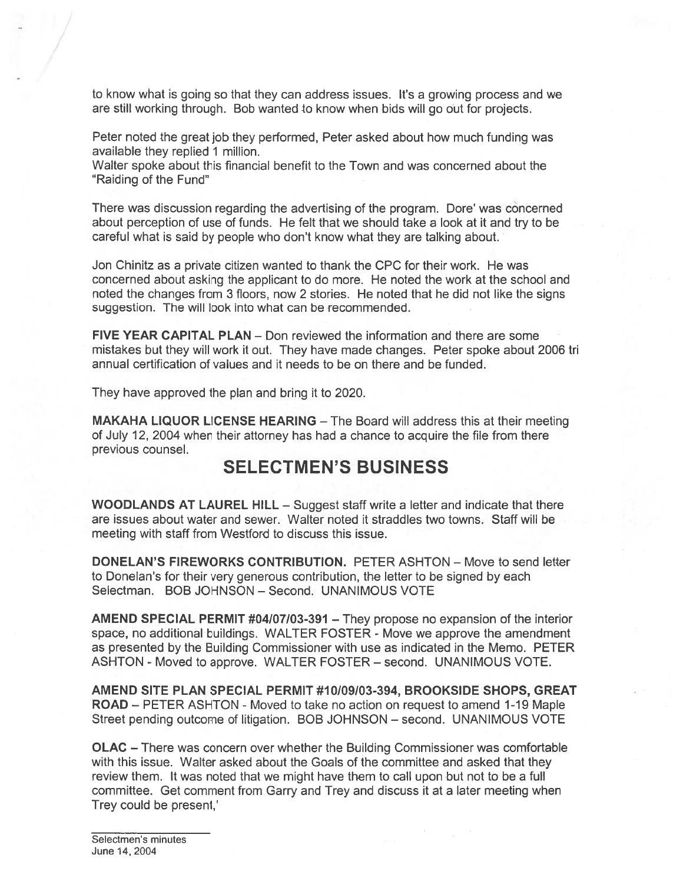to know what is going so that they can address issues. It's <sup>a</sup> growing process and we are still working through. Bob wanted to know when bids will go out for projects.

Peter noted the grea<sup>t</sup> job they performed, Peter asked about how much funding was available they replied 1 million.

Walter spoke about this financial benefit to the Town and was concerned about the "Raiding of the Fund"

There was discussion regarding the advertising of the program. Dore' was concerned about perception of use of funds. He felt that we should take <sup>a</sup> look at it and try to be careful what is said by people who don't know what they are talking about.

Jon Chinitz as <sup>a</sup> private citizen wanted to thank the CPC for their work. He was concerned about asking the applicant to do more. He noted the work at the school and noted the changes from 3 floors, now 2 stories. He noted that he did not like the signs suggestion. The will look into what can be recommended.

FIVE YEAR CAPITAL PLAN — Don reviewed the information and there are some mistakes but they will work it out. They have made changes. Peter spoke about 2006 tri annual certification of values and it needs to be on there and be funded.

They have approved the plan and bring it to 2020.

 $\frac{1}{2}$ 

MAKAHA LIQUOR LICENSE HEARING — The Board will address this at their meeting of July 12, 2004 when their attorney has had <sup>a</sup> chance to acquire the file from there previous counsel.

# SELECTMEN'S BUSINESS

WOODLANDS AT LAUREL HILL – Suggest staff write a letter and indicate that there are issues about water and sewer. Walter noted it straddles two towns. Staff will be meeting with staff from Westford to discuss this issue.

DONELAN'S FIREWORKS CONTRIBUTION. PETER ASHTON — Move to send letter to Donelan's for their very generous contribution, the letter to be signed by each Selectman. BOB JOHNSON — Second. UNANIMOUS VOTE

AMEND SPECIAL PERMIT #04/07/03-391 - They propose no expansion of the interior space, no additional buildings. WALTER FOSTER - Move we approve the amendment as presented by the Building Commissioner with use as indicated in the Memo. PETER ASHTON - Moved to approve. WALTER FOSTER - second. UNANIMOUS VOTE.

AMEND SITE PLAN SPECIAL PERMIT #10/09/03-394, BROOKSIDE SHOPS, GREAT ROAD — PETER ASHTON - Moved to take no action on reques<sup>t</sup> to amend 1-19 Maple Street pending outcome of litigation. BOB JOHNSON — second. UNANIMOUS VOTE

OLAC — There was concern over whether the Building Commissioner was comfortable with this issue. Walter asked about the Goals of the committee and asked that they review them. It was noted that we might have them to call upon but not to be <sup>a</sup> full committee. Get comment from Garry and Trey and discuss it at <sup>a</sup> later meeting when Trey could be present,'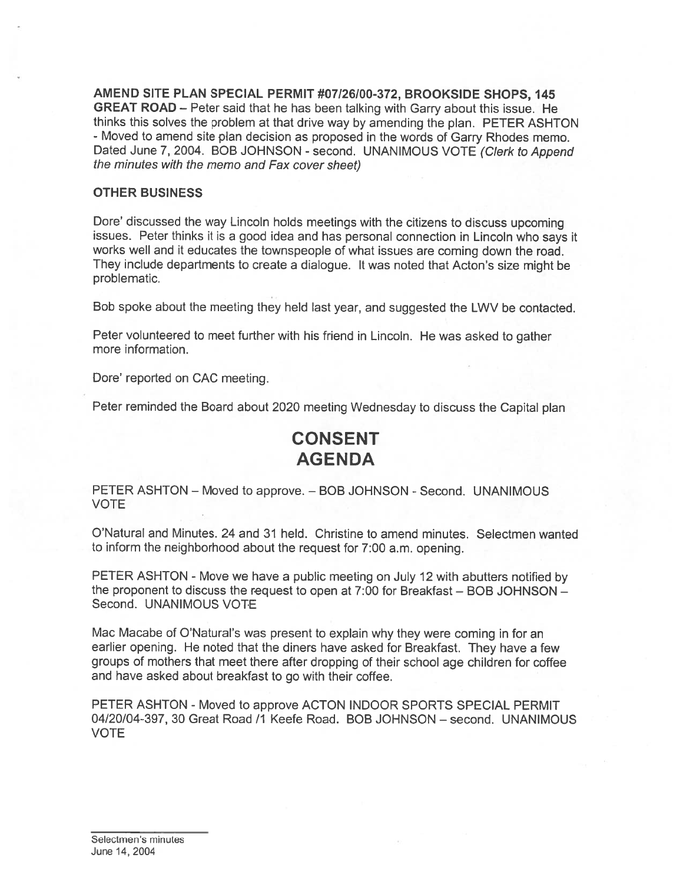AMEND SITE PLAN SPECIAL PERMIT #07/26/00-372, BROOKSIDE SHOPS, 145 GREAT ROAD — Peter said that he has been talking with Garry about this issue. He thinks this solves the problem at that drive way by amending the <sup>p</sup>lan. PETER ASHTON - Moved to amend site <sup>p</sup>lan decision as propose<sup>d</sup> in the words of Garry Rhodes memo. Dated June 7, 2004. BOB JOHNSON - second. UNANIMOUS VOTE (Clerk to Append the minutes with the memo and Fax cover sheet)

#### OTHER BUSINESS

Dore' discussed the way Lincoln holds meetings with the citizens to discuss upcoming issues. Peter thinks it is <sup>a</sup> goo<sup>d</sup> idea and has persona<sup>l</sup> connection in Lincoln who says it works well and it educates the townspeople of what issues are coming down the road. They include departments to create <sup>a</sup> dialogue. It was noted that Acton's size might be problematic.

Bob spoke about the meeting they held last year, and suggested the LWV be contacted.

Peter volunteered to meet further with his friend in Lincoln. He was asked to gather more information.

Dore' reported on CAC meeting.

Peter reminded the Board about <sup>2020</sup> meeting Wednesday to discuss the Capital <sup>p</sup>lan

# CONSENT AGENDA

PETER ASHTON – Moved to approve. – BOB JOHNSON - Second. UNANIMOUS VOTE

O'Natural and Minutes. 24 and 31 held. Christine to amend minutes. Selectmen wanted to inform the neighborhood about the reques<sup>t</sup> for 7:00 a.m. opening.

PETER ASHTON - Move we have a public meeting on July 12 with abutters notified by the proponen<sup>t</sup> to discuss the reques<sup>t</sup> to open at 7:00 for Breakfast — BOB JOHNSON — Second. UNANIMOUS VOTE

Mac Macabe of O'Natural's was presen<sup>t</sup> to explain why they were coming in for an earlier opening. He noted that the diners have asked for Breakfast. They have <sup>a</sup> few groups of mothers that meet there after dropping of their school age children for coffee and have asked about breakfast to go with their coffee.

PETER ASHTON - Moved to approve ACTON INDOOR SPORTS SPECIAL PERMIT 04/20/04-397, 30 Great Road /1 Keefe Road. BOB JOHNSON — second. UNANIMOUS VOTE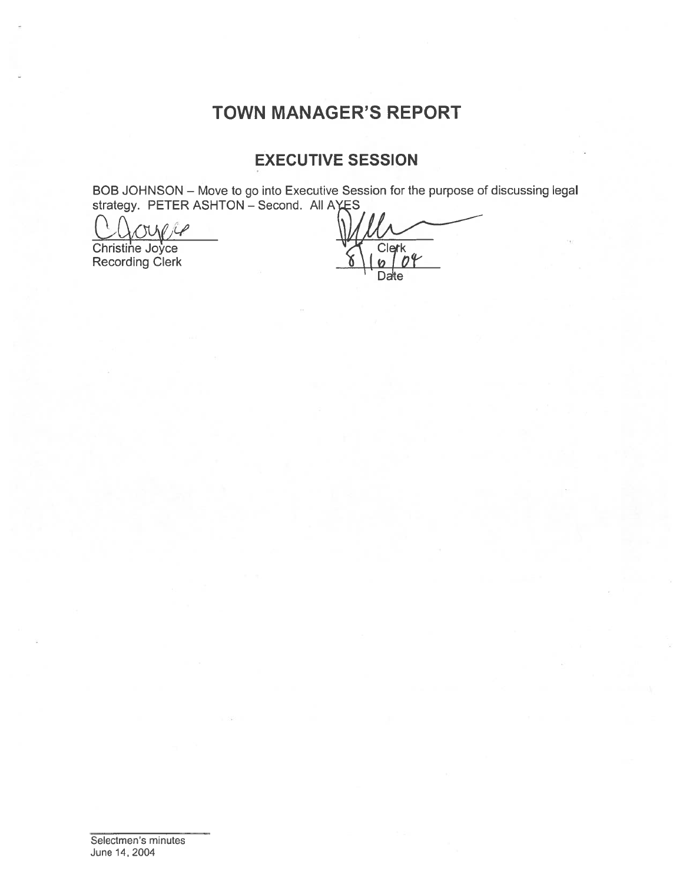# TOWN MANAGER'S REPORT

# EXECUTIVE SESSION

BOB JOHNSON — Move to go into Executive Session for the purpose of discussing legal strategy. PETER ASHTON – Second. All AYES

 $01e$ 

Recording Clerk

Christine Joyce Christine V Clerk Date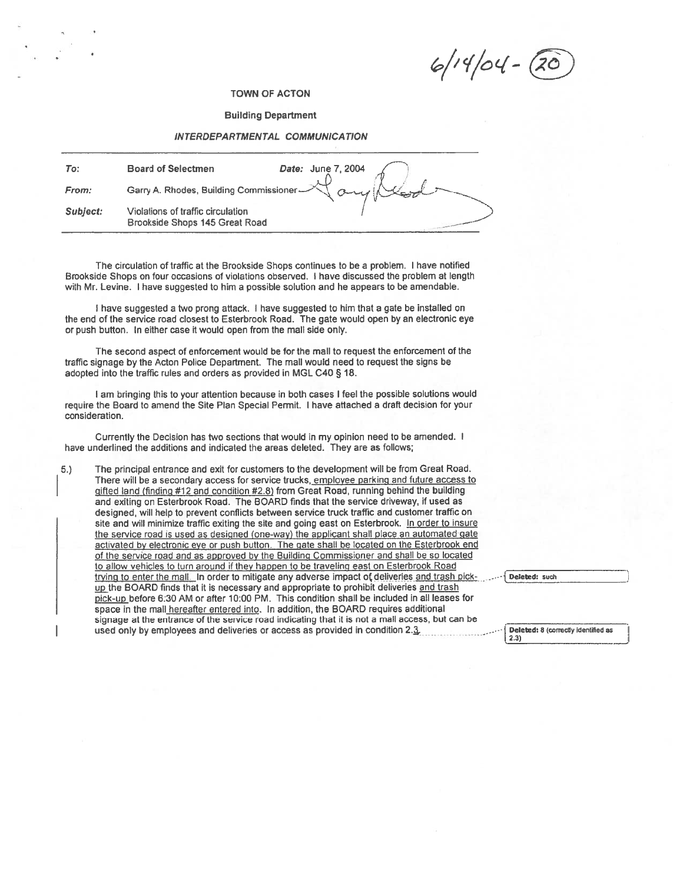TOWN OF ACTON

#### Building Department

#### INTERDEPARTMENTAL COMMUNICATION

| To:      | Date: June 7, 2004<br><b>Board of Selectmen</b>                     |
|----------|---------------------------------------------------------------------|
| From:    | Garry A. Rhodes, Building Commissioner AT and                       |
| Subject: | Violations of traffic circulation<br>Brookside Shops 145 Great Road |

The circulation of traffic at the Brookside Shops continues to be <sup>a</sup> problem. I have notified Brookside Shops on four occasions of violations observed. I have discussed the problem at length with Mr. Levine. <sup>I</sup> have suggested to him <sup>a</sup> possible solution and he appears to be amendable.

<sup>I</sup> have suggested <sup>a</sup> two prong attack. <sup>I</sup> have suggested to him that <sup>a</sup> gate be installed on the end of the service road closest to Esterbrook Road. The gate would open by an electronic eye or push button. In either case it would open from the mall side only.

The second aspec<sup>t</sup> of enforcement would be for the mall to reques<sup>t</sup> the enforcement of the traffic signage by the Acton Police Department. The mall would need to reques<sup>t</sup> the signs be adopted into the traffic rules and orders as provided in MGL C40 § 18.

<sup>I</sup> am bringing this to your attention because in both cases <sup>I</sup> feel the possible solutions would require the Board to amend the Site Plan Special Permit. <sup>I</sup> have attached <sup>a</sup> draft decision for your consideration.

Currently the Decision has two sections that would in my opinion need to be amended. <sup>I</sup> have underlined the additions and indicated the areas deleted. They are as follows;

5.) The principal entrance and exit for customers to the development will be from Great Road. There will be a secondary access for service trucks, employee parking and future access to <sup>g</sup>ifted land (finding #12 and condition #2.8) from Great Road, running behind the building and exiting on Esterbrook Road. The BOARD finds that the service driveway, if used as designed, will help to preven<sup>t</sup> conflicts between service truck traffic and customer traffic on site and will minimize traffic exiting the site and going east on Esterbrook. In order to insure the service road is used as designed (one-way) the applicant shall place an automated gate actwated by electronic eye or pus<sup>h</sup> button. The gate shall be located on the Esterbrook end of the service road and as approved by the Building Commissioner and shall be so located<br>to allow vehicles to turn around if they happen to be traveling east on Esterbrook Road TOWN OF ACTON<br>
Building Department<br>
Building Department<br>
MITERDEPARTMENTAL COMMUNICATION<br>
Genry A Rhodes, Building Commissions - Now 1, 2004<br>
Carry A Rhodes, Building Commissions - Now 1, 2004<br>
Considers the problem. I ha TOWN OF ACTON<br>
Building Department<br>
Building Department<br>
Broad of Selectmen<br>
Beard of Selectmen<br>
Garry A. Rhodes, Building Commissions<br>
Level A. June 7. 2004<br>
Complete a function of tradition of tradition of tradition of FOWN OF ACTON<br>
Building Department<br>
Building Centrifuent CoMMUNICATION<br>
Board of Selectrinan<br>
Board of Selectrinan<br>
Clearly A. Phonole, Building Commissionies<br>  $\tau$  Concess and Finds that it is necessary and the probabili space in the mall hereafter entered into. In addition, the BOARD requires additional signage at the entrance of the service road indicating that it is not a mall access, but can be Signapo (at the entrance of the service road interactions). The service road interactions of the service road interactions of the service road interactions of the service road interactions of the service road interactions used only by employees and deliveries or access as provided in condition  $2.\overline{3}$ . 2.3 Deleted: 8 (correctly identified as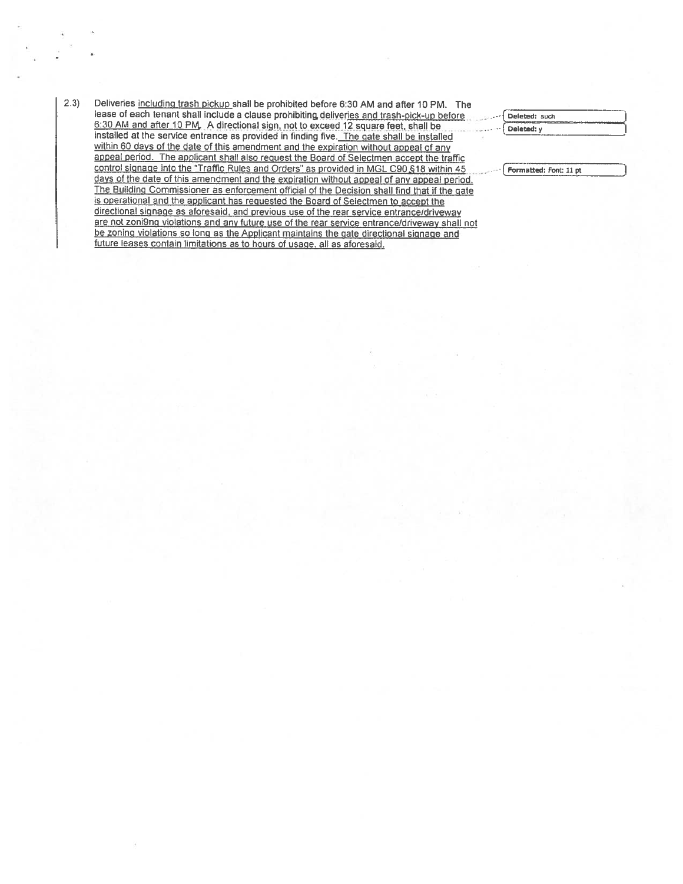2.3) Deliveries including trash pickup shall be prohibited before 6:30 AM and after 10 PM. The lease of each tenant shall include a clause prohibiting deliveries and trash-pick-up before 1Deleted: such 6:30 AM and after 10 PM. A directional sign, not to exceed 12 square feet, shall be  $\frac{6.30 \text{ AM} \text{ and} \text{ and} \text{ are 10 PM}}{6.50 \text{ AM} \text{ and} \text{ are 10 PM}}$ . A directional sign, not to exceed 12 square feet, shall be installed within <sup>60</sup> days of the date of this amendment and the expiration without appea<sup>l</sup> of any appea<sup>l</sup> period. The applicant shall also reques<sup>t</sup> the Board of Selectmen accep<sup>t</sup> the traffic control signage into the "Traffic Rules and Orders" as provided in MGL C90 §18 within 45 [Formatted: Font: 11 pt days of the date of this amendment and the expiration without appeal of any appeal period. The Building Commissioner as enforcement official of the Decision shall find that if the pate is operational and the applicant has requested the Board of Selectmen to accep<sup>t</sup> the directional signage as aforesaid, and previous use of the rear service entrance/driveway are not zoni9ng violations and any future use of the rear service entrance/driveway shall not be zoning violations so long as the Applicant maintains the gate directional signage and future leases contain limitations as to hours of usage, all as aforesaid.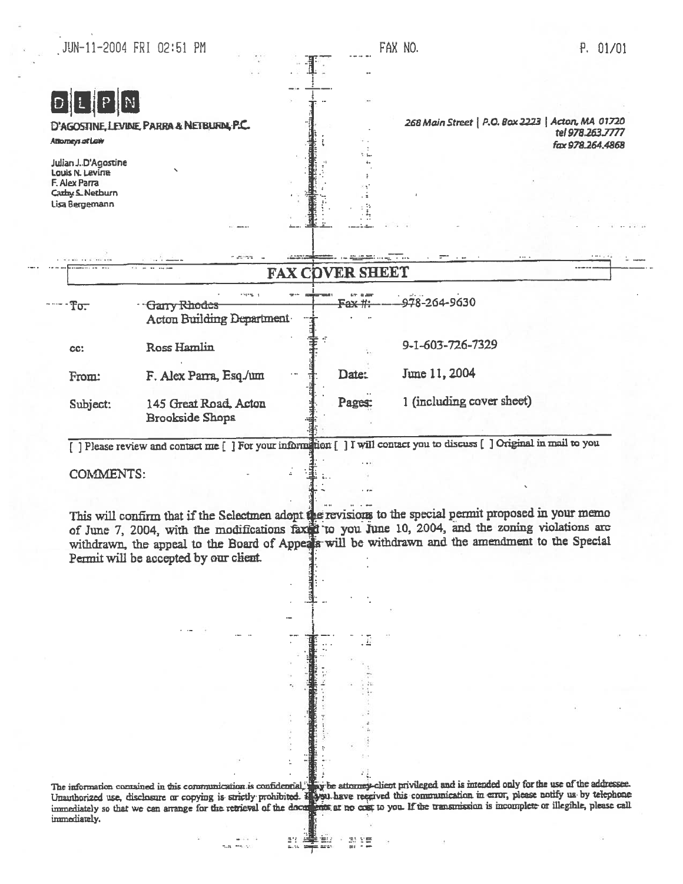|                                                                                                      | JUN-11-2004 FRI 02:51 PM                    |             |                        |        | FAX NO.                                                                                                       | P. 01/01                             |
|------------------------------------------------------------------------------------------------------|---------------------------------------------|-------------|------------------------|--------|---------------------------------------------------------------------------------------------------------------|--------------------------------------|
|                                                                                                      |                                             |             |                        |        |                                                                                                               |                                      |
|                                                                                                      |                                             |             |                        |        |                                                                                                               |                                      |
| Attorneys at Low                                                                                     | D'AGOSTINE, LEVINE, PARRA & NETBURN, P.C.   |             |                        |        | 268 Main Street   P.O. Box 2223   Acton, MA 01720                                                             | tel 978.263.7777<br>fax 978.264.4868 |
| Julian J.D'Agostine<br>Louis N. Levine<br>F. Alex Parra<br><b>Carby S. Netburn</b><br>Lisa Bergemann |                                             |             |                        |        |                                                                                                               |                                      |
|                                                                                                      |                                             |             |                        |        |                                                                                                               |                                      |
|                                                                                                      |                                             |             |                        |        |                                                                                                               |                                      |
|                                                                                                      |                                             | e szeringia |                        |        | ministra de la constitución de la constitución de la constitución de la constitución de la constitución de la |                                      |
| To.                                                                                                  | · Garry Rhodes<br>Acton Building Department | teres a     | <b>FAX COVER SHEET</b> | Fax #: | 978-264-9630                                                                                                  |                                      |
| CC:                                                                                                  | Ross Hamlin                                 |             |                        |        | 9-1-603-726-7329                                                                                              |                                      |
| From:                                                                                                | F. Alex Parra, Esq./um                      |             |                        | Date:  | June 11, 2004                                                                                                 |                                      |

COMMENTS:

This will confirm that if the Selectmen adopt. the revisions to the special permit proposed in your memo of June 7, 2004, with the modifications faxed to you June 10, 2004, and the zoning violations are withdrawn, the appeal to the Board of Appeals will be withdrawn and the amendment to the Special Permit will be accepted by our client.

The information contained in this communication is confidential, they be attorney-client privileged and is intended only for the use of the Uuauthorized use, disclosure or copying is strictly prohibited. In our have regrived this communication in error, please notify us by telephone immediately so that we can arrange for the retrieval of the documents at no cost to you. If the transmission is incomplete or illegible, please call inmediately.

n#

Èw

 $\div$ 

思望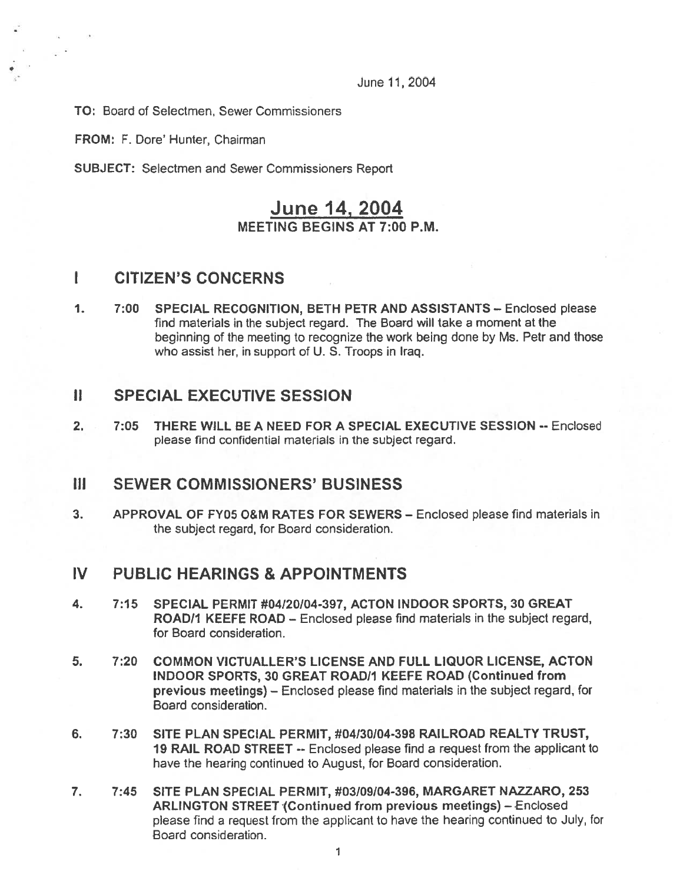June 11,2004

TO: Board of Selectmen, Sewer Commissioners

FROM: F. Dore' Hunter, Chairman

SUBJECT: Selectmen and Sewer Commissioners Report

## June 14, 2004 MEETING BEGINS AT 7:00 P.M.

### I CITIZEN'S CONCERNS

1. 7:00 SPECIAL RECOGNITION, BETH PETR AND ASSISTANTS — Enclosed please find materials in the subject regard. The Board will take <sup>a</sup> moment at the beginning of the meeting to recognize the work being done by Ms. Petr and those who assist her, in suppor<sup>t</sup> of U. S. Troops in Iraq.

## II SPECIAL EXECUTIVE SESSION

2. 7:05 THERE WILL BE A NEED FOR A SPECIAL EXECUTIVE SESSION -- Enclosed please find confidential materials in the subject regard.

#### III SEWER COMMISSIONERS' BUSINESS

3. APPROVAL OF FY05 O&M RATES FOR SEWERS — Enclosed please find materials in the subject regard, for Board consideration.

## IV PUBLIC HEARINGS & APPOINTMENTS

- 4. 7:15 SPECIAL PERMIT #04120i04-397, ACTON INDOOR SPORTS, 30 GREAT ROAD/I KEEFE ROAD — Enclosed please find materials in the subject regard, for Board consideration.
- 5. 7:20 COMMON ViCTUALLER'S LICENSE AND FULL LIQUOR LICENSE, ACTON INDOOR SPORTS, 30 GREAT ROAD/I KEEFE ROAD (Continued from previous meetings) — Enclosed <sup>p</sup>lease find materials in the subject regard, for Board consideration.
- 6. 7:30 SITE PLAN SPECIAL PERMIT, #04I30/04-398 RAILROAD REALTY TRUST, 19 RAIL ROAD STREET -- Enclosed please find <sup>a</sup> reques<sup>t</sup> from the applicant to have the hearing continued to August, for Board consideration.
- 7. 7:45 SITE PLAN SPECIAL PERMIT, #03109/04-396, MARGARET NAZZARO, 253 ARLINGTON STREET (Continued from previous meetings) —Enclosed <sup>p</sup>lease find <sup>a</sup> reques<sup>t</sup> from the applicant to have the hearing continued to July, for Board consideration.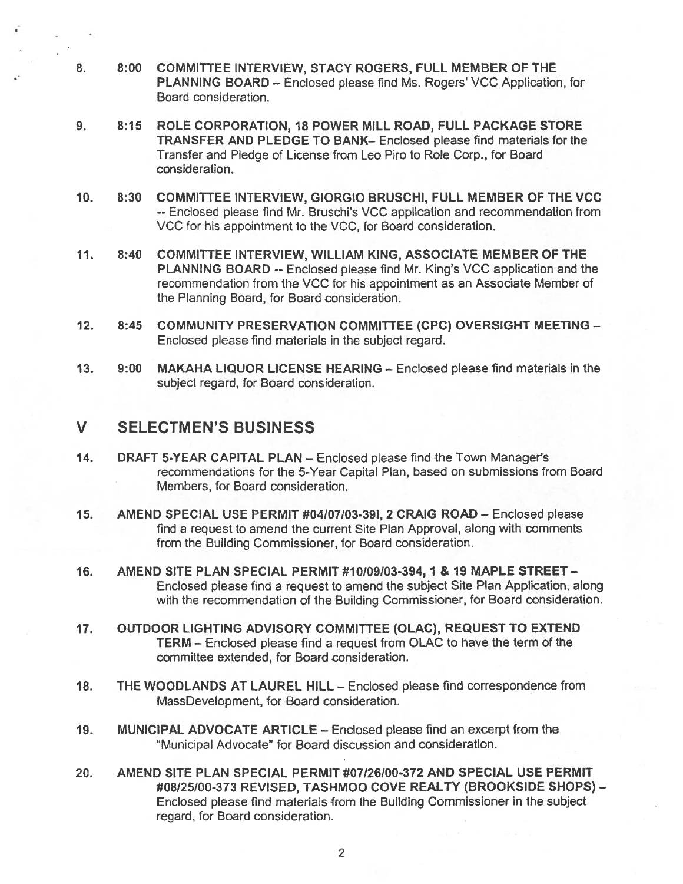- 8. 8:00 COMMITTEE INTERVIEW, STACY ROGERS, FULL MEMBER OF THE PLANNING BOARD – Enclosed please find Ms. Rogers' VCC Application, for Board consideration.
- 9. 8:15 ROLE CORPORATION, 18 POWER MILL ROAD, FULL PACKAGE STORE TRANSFER AND PLEDGE TO BANK— Enclosed please find materials for the Transfer and Pledge of License from Leo Piro to Role Corp., for Board consideration.
- 10. 8:30 COMMITTEE INTERVIEW, GIORGIO BRUSCHI, FULL MEMBER OF THE VCC -- Enclosed please find Mr. Bruschi's VCC application and recommendation from VCC for his appointment to the VCC, for Board consideration.
- 11. 8:40 COMMiTTEE INTERVIEW, WILLIAM KING, ASSOCIATE MEMBER OF THE PLANNING BOARD -- Enclosed please find Mr. King's VCC application and the recommendation from the VCC for his appointment as an Associate Member of the Planning Board, for Board consideration.
- 12. 8:45 COMMUNITY PRESERVATION COMMITTEE (CPC) OVERSIGHT MEETING -Enclosed please find materials in the subject regard.
- 13. 9:00 MAKAHA LIQUOR LICENSE HEARING Enclosed please find materials in the subject regard, for Board consideration.

### V SELECTMEN'S BUSINESS

- 14. DRAFT 5-YEAR CAPITAL PLAN Enclosed please find the Town Manager's recommendations for the 5-Year Capital Plan, based on submissions from Board Members, for Board consideration.
- 15. AMEND SPECIAL USE PERMIT #04107)03-391, 2 CRAIG ROAD Enclosed please find <sup>a</sup> reques<sup>t</sup> to amend the current Site Plan Approval, along with comments from the Building Commissioner, for Board consideration.
- 16. AMEND SITE PLAN SPECIAL PERMIT #10109103-394, 1 & 19 MAPLE STREET Enclosed please find a request to amend the subject Site Plan Application, along with the recommendation of the Building Commissioner, for Board consideration.
- 17. OUTDOOR LIGHTING ADVISORY COMMITTEE (OLAC), REQUEST TO EXTEND TERM — Enclosed please find <sup>a</sup> reques<sup>t</sup> from OLAC to have the term of the committee extended, for Board consideration.
- 18. THE WOODLANDS AT LAUREL HILL Enclosed please find correspondence from MassDevelopment, for Board consideration.
- 19. MUNICIPAL ADVOCATE ARTICLE Enclosed please find an excerp<sup>t</sup> from the "Municipal Advocate" for Board discussion and consideration.
- 20. AMEND SITE PLAN SPECIAL PERMIT #07/26/00-372 AND SPECIAL USE PERMIT #08/25/00-373 REVISED, TASHMOO COVE REALTY (BROOKSIDE SHOPS) -Enclosed please find materials from the Building Commissioner in the subject regard, for Board consideration.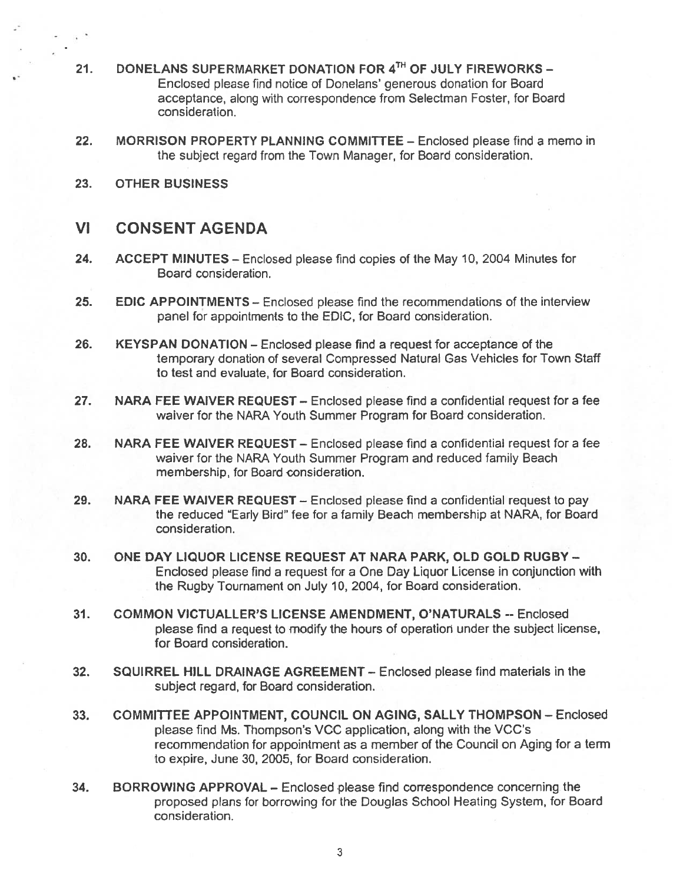- 21. DONELANS SUPERMARKET DONATION FOR  $4^{TH}$  OF JULY FIREWORKS -Enclosed please find notice of Donelans' generous donation for Board acceptance, along with correspondence from Selectman Foster, for Board consideration.
- 22. MORRISON PROPERTY PLANNING COMMITTEE Enclosed please find a memo in the subject regard from the Town Manager, for Board consideration.
- 23. OTHER BUSINESS

#### VI CONSENT AGENDA

- 24. ACCEPT MINUTES Enclosed please find copies of the May 10, 2004 Minutes for Board consideration.
- 25. EDIC APPOINTMENTS Enclosed please find the recommendations of the interview panel for appointments to the EDIC, for Board consideration.
- 26. KEYSPAN DONATION Enclosed please find <sup>a</sup> reques<sup>t</sup> for acceptance of the temporary donation of several Compressed Natural Gas Vehicles for Town Staff to test and evaluate, for Board consideration.
- 27. NARA FEE WAIVER REQUEST Enclosed please find <sup>a</sup> confidential reques<sup>t</sup> for <sup>a</sup> fee waiver for the NARA Youth Summer Program for Board consideration.
- 28. NARA FEE WAIVER REQUEST Enclosed please find a confidential request for a fee waiver for the NARA Youth Summer Program and reduced family Beach membership, for Board consideration.
- 29. NARA FEE WAIVER REQUEST Enclosed please find <sup>a</sup> confidential reques<sup>t</sup> to pay the reduced "Early Bird" fee for <sup>a</sup> family Beach membership at NARA, for Board consideration.
- 30. ONE DAY LIQUOR LICENSE REQUEST AT NARA PARK, OLD GOLD RUGBY Enclosed please find <sup>a</sup> reques<sup>t</sup> for <sup>a</sup> One Day Liquor License in conjunction with the Rugby Tournament on July 10, 2004, for Board consideration.
- 31. COMMON VICTUALLER'S LICENSE AMENDMENT, O'NATURALS -- Enclosed please find <sup>a</sup> reques<sup>t</sup> to modify the hours of operation under the subject license, for Board consideration.
- 32. SQUIRREL HILL DRAINAGE AGREEMENT Enclosed please find materials in the subject regard, for Board consideration.
- 33. COMMITTEE APPOINTMENT, COUNCIL ON AGING, SALLY THOMPSON Enclosed please find Ms. Thompson's VCC application, along with the VCC's recommendation for appointment as <sup>a</sup> member of the Council on Aging for <sup>a</sup> term to expire, June 30, 2005, for Board consideration.
- 34. BORROWING APPROVAL Enclosed please find correspondence concerning the proposed plans for borrowing for the Douglas School Heating System, for Board consideration.